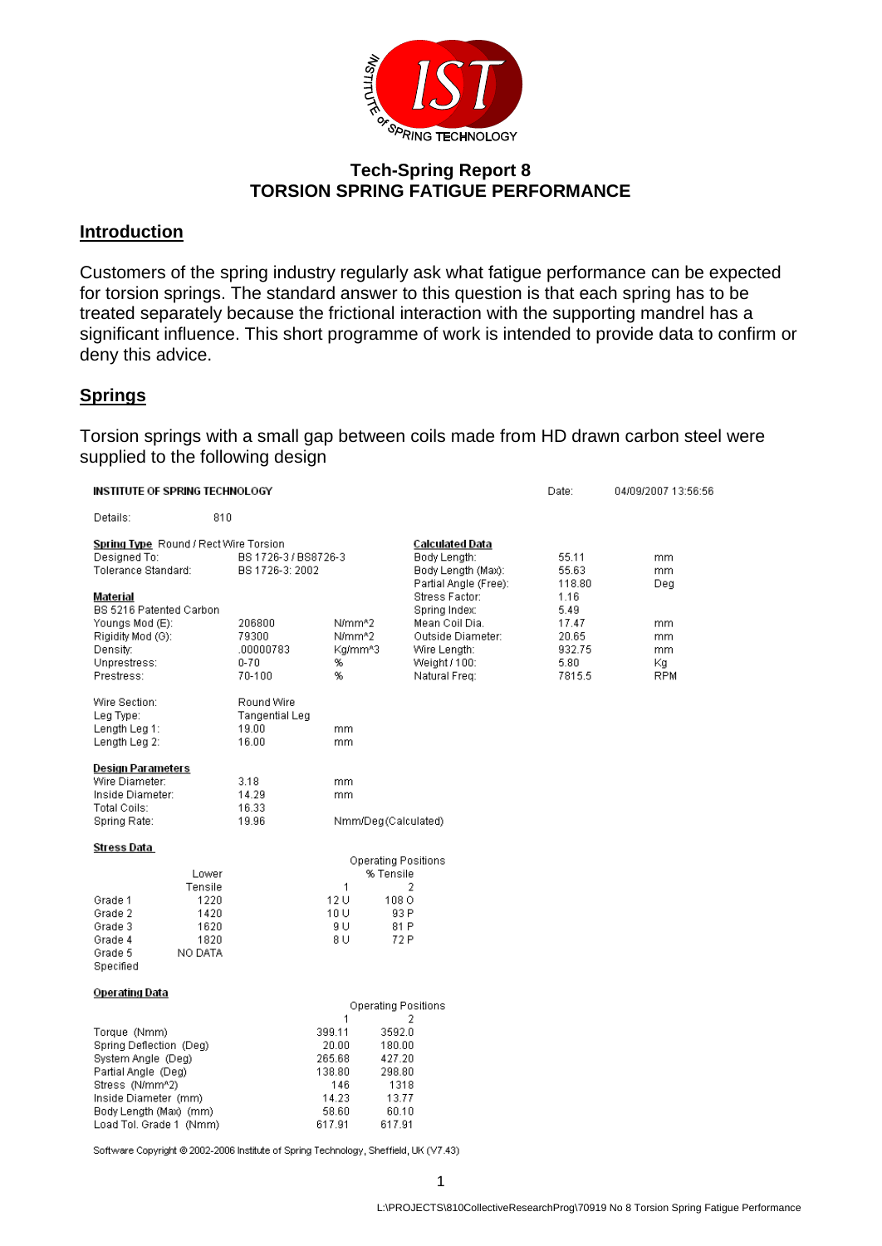

### **Tech-Spring Report 8 TORSION SPRING FATIGUE PERFORMANCE**

#### **Introduction**

Customers of the spring industry regularly ask what fatigue performance can be expected for torsion springs. The standard answer to this question is that each spring has to be treated separately because the frictional interaction with the supporting mandrel has a significant influence. This short programme of work is intended to provide data to confirm or deny this advice.

#### **Springs**

Torsion springs with a small gap between coils made from HD drawn carbon steel were supplied to the following design

| INSTITUTE OF SPRING TECHNOLOGY                                                                                                                                                       |                                                             |                                                    |                                                                             |                                                                          |                                                                                                        | Date:                                              | 04/09/2007 13:56:56                |
|--------------------------------------------------------------------------------------------------------------------------------------------------------------------------------------|-------------------------------------------------------------|----------------------------------------------------|-----------------------------------------------------------------------------|--------------------------------------------------------------------------|--------------------------------------------------------------------------------------------------------|----------------------------------------------------|------------------------------------|
| Details:                                                                                                                                                                             | 810                                                         |                                                    |                                                                             |                                                                          |                                                                                                        |                                                    |                                    |
| Spring Type Round / Rect Wire Torsion<br>Designed To:<br>BS 1726-3 / BS8726-3<br>Tolerance Standard:<br>BS 1726-3: 2002<br>Material                                                  |                                                             |                                                    |                                                                             |                                                                          | Calculated Data<br>Body Lenath:<br>Body Length (Max):<br>Partial Angle (Free):<br>Stress Factor:       | 55.11<br>55.63<br>118.80<br>1.16                   | mm.<br>mm.<br>Deg                  |
| BS 5216 Patented Carbon<br>Youngs Mod (E):<br>Rigidity Mod (G):<br>Density:<br>Unprestress:<br>Prestress:                                                                            |                                                             | 206800<br>79300<br>.00000783<br>$0 - 70$<br>70-100 | N/mm <sup>n2</sup><br>N/mm^2<br>Kg/mm^3<br>%<br>%                           |                                                                          | Spring Index:<br>Mean Coil Dia.<br>Outside Diameter:<br>Wire Length:<br>Weight / 100:<br>Natural Freq: | 5.49<br>17.47<br>20.65<br>932.75<br>5.80<br>7815.5 | mm<br>mm<br>mm<br>Κq<br><b>RPM</b> |
| Wire Section:<br>Leg Type:<br>Length Leg 1:<br>Length Leg 2:                                                                                                                         |                                                             | Round Wire<br>Tangential Leg<br>19.00<br>16.00     | mm.<br>mm                                                                   |                                                                          |                                                                                                        |                                                    |                                    |
| Design Parameters<br>Wire Diameter:<br>Inside Diameter:<br>Total Coils:<br>Spring Rate:                                                                                              |                                                             | 3.18<br>14.29<br>16.33<br>19.96                    | mm.<br>mm                                                                   | Nmm/Deg(Calculated)                                                      |                                                                                                        |                                                    |                                    |
| Stress Data                                                                                                                                                                          |                                                             |                                                    |                                                                             |                                                                          |                                                                                                        |                                                    |                                    |
| Grade 1<br>Grade 2<br>Grade 3<br>Grade 4<br>Grade 5<br>Specified                                                                                                                     | Lower<br>Tensile<br>1220<br>1420<br>1620<br>1820<br>NO DATA |                                                    | $\mathbf{1}$<br>12 U<br>10 U<br>9 U<br>8 U                                  | Operating Positions<br>% Tensile<br>108 O<br>93 P<br>81 P<br>72 P        | 2                                                                                                      |                                                    |                                    |
| Operating Data                                                                                                                                                                       |                                                             |                                                    |                                                                             | <b>Operating Positions</b>                                               |                                                                                                        |                                                    |                                    |
| Torque (Nmm)<br>Spring Deflection (Deg)<br>System Angle (Deg)<br>Partial Angle (Deg)<br>Stress (N/mm^2)<br>Inside Diameter (mm)<br>Body Length (Max) (mm)<br>Load Tol. Grade 1 (Nmm) |                                                             |                                                    | 1<br>399.11<br>20.00<br>265.68<br>138.80<br>146<br>14.23<br>58.60<br>617.91 | 3592.0<br>180.00<br>427.20<br>298.80<br>1318<br>13.77<br>60.10<br>617.91 | 2                                                                                                      |                                                    |                                    |

Software Copyright @ 2002-2006 Institute of Spring Technology, Sheffield, UK (V7.43)